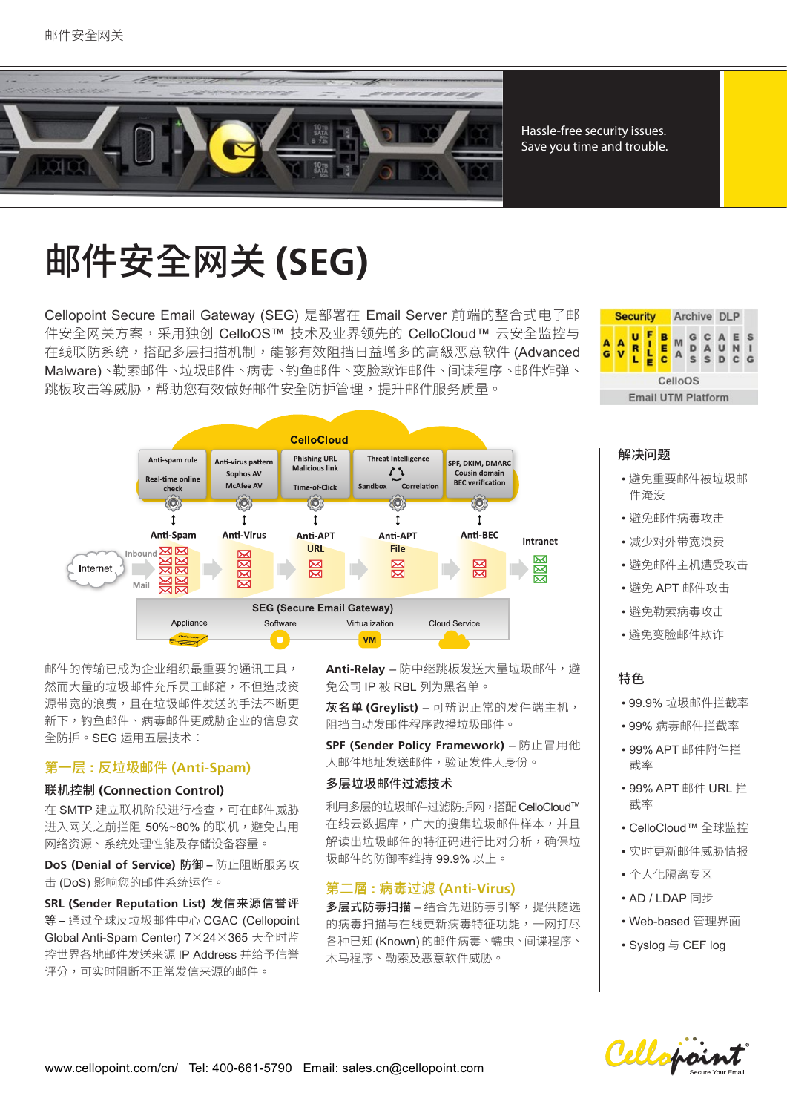

Hassle-free security issues. Save you time and trouble.

# 齱⟝㸞緸Ⱒ **(SEG)**

Cellopoint Secure Email Gateway (SEG) 是部署在 Email Server 前端的整合式电子邮 件安全网关方案,采用独创 CelloOS™ 技术及业界领先的 CelloCloud™ 云安全监控与 在线联防系统,搭配多层扫描机制,能够有效阻挡日益增多的高級恶意软件 (Advanced Malware)、勒索邮件、坑圾邮件、病毒、钓鱼邮件、变脸欺诈邮件、间谍程序、邮件炸弹、 跳板攻击等威胁,帮助您有效做好邮件安全防护管理,提升邮件服务质量。



邮件的传输已成为企业组织最重要的通讯工具, 然而大量的垃圾邮件充斥员工邮箱,不但造成资 源带宽的浪费,且在垃圾邮件发送的手法不断更 新下,钓鱼邮件、病毒邮件更威胁企业的信息安 全防护。SEG 运用五层技术:

# 痧♧㽻 **:** ⿾㘏㖣齱⟝ **(Anti-Spam)**

# 翬劼䱾ⵖ **(Connection Control)**

在 SMTP 建立联机阶段进行检查,可在邮件威胁 进入网关之前拦阻 50%~80% 的联机,避免占用 网络资源、系统处理性能及存储设备容量。

**DoS (Denial of Service) 防御 –** 防止阻断服务攻 击 (DoS) 影响您的邮件系统运作。

**SRL (Sender Reputation List) 发信来源信誉评** 等-通过全球反垃圾邮件中心 CGAC (Cellopoint Global Anti-Spam Center) 7×24×365 天全时监 控世界各地邮件发送来源 IP Address 并给予信誉 评分,可实时阻断不正常发信来源的邮件。

Anti-Relay - 防中继跳板发送大量垃圾邮件,避 免公司 IP 被 RBL 列为黑名单。

灰名单 (Greylist) - 可辨识正常的发件端主机, 阻挡自动发邮件程序散播垃圾邮件。

**SPF (Sender Policy Framework)** – 防止冒用他 人邮件地址发送邮件,验证发件人身份。

# 多层垃圾邮件过滤技术

利用多层的垃圾邮件过滤防护网,搭配 CelloCloud™ 在线云数据库,广大的搜集垃圾邮件样本,并且 解读出垃圾邮件的特征码进行比对分析,确保垃 圾邮件的防御率维持 99.9% 以上。

# 痧✳㾵 **:** 氻嫬鵂応 **(Anti-Virus)**

多层式防毒扫描-结合先进防毒引擎, 提供随选 的病毒扫描与在线更新病毒特征功能,一网打尽 各种已知(Known)的邮件病毒、蠕虫、间谍程序、 木马程序、勒索及恶意软件威胁。



解决问题

- 避免重要邮件被垃圾邮 件淹没
- 避免邮件病毒攻击
- 减少对外带宽浪费
- 避免邮件主机遭受攻击
- 避免 APT 邮件攻击
- 避免勒索病毒攻击
- 避免变脸邮件欺诈

# 特色

- 99.9% 垃圾邮件拦截率
- 99%病毒邮件拦截率
- 99% APT 邮件附件拦 䨔桧
- 99% APT 邮件 URL 拦 截率
- CelloCloud™ 全球监控
- 实时更新邮件威胁情报
- 个人化隔离专区
- AD / LDAP 同步
- Web-based 管理界面
- Syslog 与 CEF log